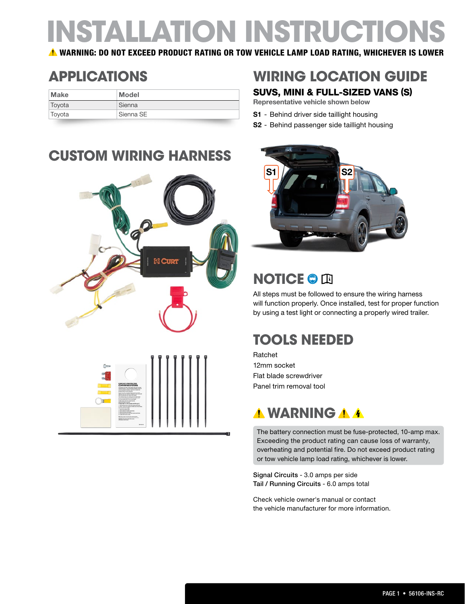# **INSTALLATION INSTRUCTIONS**

WARNING: DO NOT EXCEED PRODUCT RATING OR TOW VEHICLE LAMP LOAD RATING, WHICHEVER IS LOWER

| Make   | <b>Model</b> |
|--------|--------------|
| Toyota | Sienna       |
| Toyota | Sienna SE    |

### **APPLICATIONS WIRING LOCATION GUIDE**

#### SUVS, MINI & FULL-SIZED VANS (S)

Representative vehicle shown below

- S1 Behind driver side taillight housing
- S2 Behind passenger side taillight housing





### **NOTICE © Q**

All steps must be followed to ensure the wiring harness will function properly. Once installed, test for proper function by using a test light or connecting a properly wired trailer.

### **TOOLS NEEDED**

Ratchet 12mm socket Flat blade screwdriver Panel trim removal tool

### *MWARNING*

The battery connection must be fuse-protected, 10-amp max. Exceeding the product rating can cause loss of warranty, overheating and potential fire. Do not exceed product rating or tow vehicle lamp load rating, whichever is lower.

Signal Circuits - 3.0 amps per side Tail / Running Circuits - 6.0 amps total

Check vehicle owner's manual or contact the vehicle manufacturer for more information.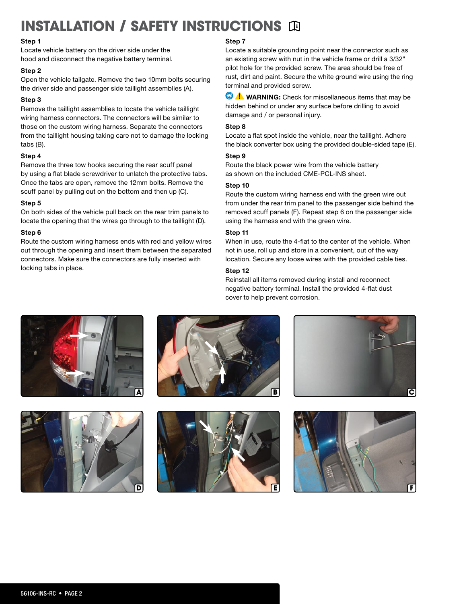## **INSTALLATION / SAFETY INSTRUCTIONS ID**

#### Step 1

Locate vehicle battery on the driver side under the hood and disconnect the negative battery terminal.

#### Step 2

Open the vehicle tailgate. Remove the two 10mm bolts securing the driver side and passenger side taillight assemblies (A).

#### Step 3

Remove the taillight assemblies to locate the vehicle taillight wiring harness connectors. The connectors will be similar to those on the custom wiring harness. Separate the connectors from the taillight housing taking care not to damage the locking tabs (B).

#### Step 4

Remove the three tow hooks securing the rear scuff panel by using a flat blade screwdriver to unlatch the protective tabs. Once the tabs are open, remove the 12mm bolts. Remove the scuff panel by pulling out on the bottom and then up (C).

#### Step 5

On both sides of the vehicle pull back on the rear trim panels to locate the opening that the wires go through to the taillight (D).

#### Step 6

Route the custom wiring harness ends with red and yellow wires out through the opening and insert them between the separated connectors. Make sure the connectors are fully inserted with locking tabs in place.

#### Step 7

Locate a suitable grounding point near the connector such as an existing screw with nut in the vehicle frame or drill a 3/32" pilot hole for the provided screw. The area should be free of rust, dirt and paint. Secure the white ground wire using the ring terminal and provided screw.

 $\bigcirc$   $\Lambda$  WARNING: Check for miscellaneous items that may be hidden behind or under any surface before drilling to avoid damage and / or personal injury.

#### Step 8

Locate a flat spot inside the vehicle, near the taillight. Adhere the black converter box using the provided double-sided tape (E).

#### Step 9

Route the black power wire from the vehicle battery as shown on the included CME-PCL-INS sheet.

#### Step 10

Route the custom wiring harness end with the green wire out from under the rear trim panel to the passenger side behind the removed scuff panels (F). Repeat step 6 on the passenger side using the harness end with the green wire.

#### Step 11

When in use, route the 4-flat to the center of the vehicle. When not in use, roll up and store in a convenient, out of the way location. Secure any loose wires with the provided cable ties.

#### Step 12

Reinstall all items removed during install and reconnect negative battery terminal. Install the provided 4-flat dust cover to help prevent corrosion.